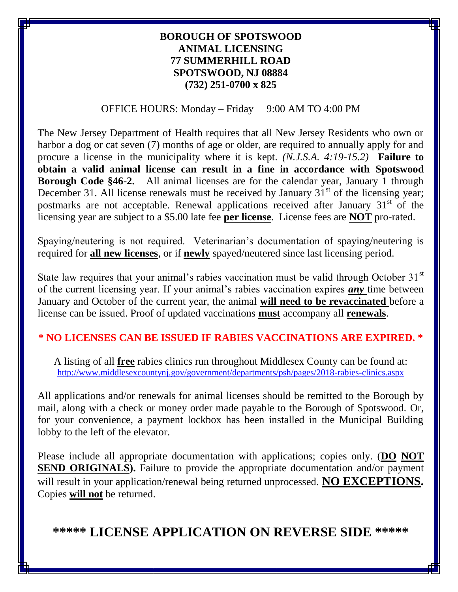### **BOROUGH OF SPOTSWOOD ANIMAL LICENSING 77 SUMMERHILL ROAD SPOTSWOOD, NJ 08884 (732) 251-0700 x 825**

Ξ

#### OFFICE HOURS: Monday – Friday 9:00 AM TO 4:00 PM

The New Jersey Department of Health requires that all New Jersey Residents who own or harbor a dog or cat seven (7) months of age or older, are required to annually apply for and procure a license in the municipality where it is kept. *(N.J.S.A. 4:19-15.2)* **Failure to obtain a valid animal license can result in a fine in accordance with Spotswood Borough Code §46-2.** All animal licenses are for the calendar year, January 1 through December 31. All license renewals must be received by January  $31<sup>st</sup>$  of the licensing year; postmarks are not acceptable. Renewal applications received after January  $31<sup>st</sup>$  of the licensing year are subject to a \$5.00 late fee **per license**. License fees are **NOT** pro-rated.

Spaying/neutering is not required. Veterinarian's documentation of spaying/neutering is required for **all new licenses**, or if **newly** spayed/neutered since last licensing period.

State law requires that your animal's rabies vaccination must be valid through October  $31<sup>st</sup>$ of the current licensing year. If your animal's rabies vaccination expires *any* time between January and October of the current year, the animal **will need to be revaccinated** before a license can be issued. Proof of updated vaccinations **must** accompany all **renewals**.

#### **\* NO LICENSES CAN BE ISSUED IF RABIES VACCINATIONS ARE EXPIRED. \***

A listing of all **free** rabies clinics run throughout Middlesex County can be found at: <http://www.middlesexcountynj.gov/government/departments/psh/pages/2018-rabies-clinics.aspx>

All applications and/or renewals for animal licenses should be remitted to the Borough by mail, along with a check or money order made payable to the Borough of Spotswood. Or, for your convenience, a payment lockbox has been installed in the Municipal Building lobby to the left of the elevator.

Please include all appropriate documentation with applications; copies only. (**DO NOT SEND ORIGINALS).** Failure to provide the appropriate documentation and/or payment will result in your application/renewal being returned unprocessed. **NO EXCEPTIONS.** Copies **will not** be returned.

**\*\*\*\*\* LICENSE APPLICATION ON REVERSE SIDE \*\*\*\*\***